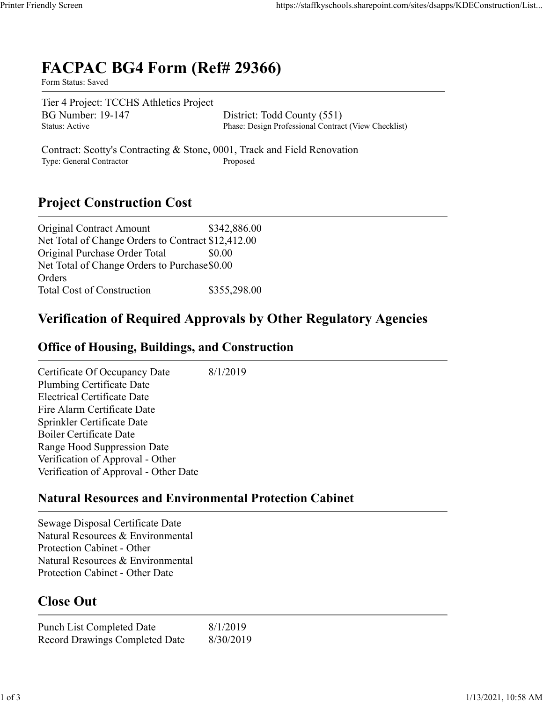# **FACPAC BG4 Form (Ref# 29366)**

Form Status: Saved

Tier 4 Project: TCCHS Athletics Project BG Number: 19-147 District: Todd County (551)<br>Status: Active Phase: Design Professional Contraction

Phase: Design Professional Contract (View Checklist)

Contract: Scotty's Contracting & Stone, 0001, Track and Field Renovation Type: General Contractor Proposed

## **Project Construction Cost**

| <b>Original Contract Amount</b>                    | \$342,886.00 |
|----------------------------------------------------|--------------|
| Net Total of Change Orders to Contract \$12,412.00 |              |
| Original Purchase Order Total                      | \$0.00       |
| Net Total of Change Orders to Purchase \$0.00      |              |
| Orders                                             |              |
| <b>Total Cost of Construction</b>                  | \$355,298.00 |

### **Verification of Required Approvals by Other Regulatory Agencies**

#### **Office of Housing, Buildings, and Construction**

Certificate Of Occupancy Date 8/1/2019 Plumbing Certificate Date Electrical Certificate Date Fire Alarm Certificate Date Sprinkler Certificate Date Boiler Certificate Date Range Hood Suppression Date Verification of Approval - Other Verification of Approval - Other Date

#### **Natural Resources and Environmental Protection Cabinet**

Sewage Disposal Certificate Date Natural Resources & Environmental Protection Cabinet - Other Natural Resources & Environmental Protection Cabinet - Other Date

## **Close Out**

Punch List Completed Date 8/1/2019 Record Drawings Completed Date 8/30/2019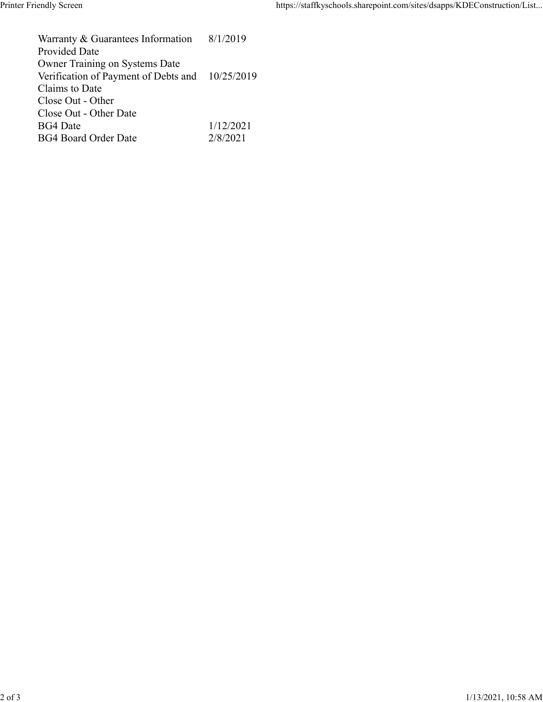Warranty & Guarantees Information Provided Date 8/1/2019 Owner Training on Systems Date Verification of Payment of Debts and Claims to Date 10/25/2019 Close Out - Other Close Out - Other Date BG4 Date 1/12/2021 BG4 Board Order Date 2/8/2021